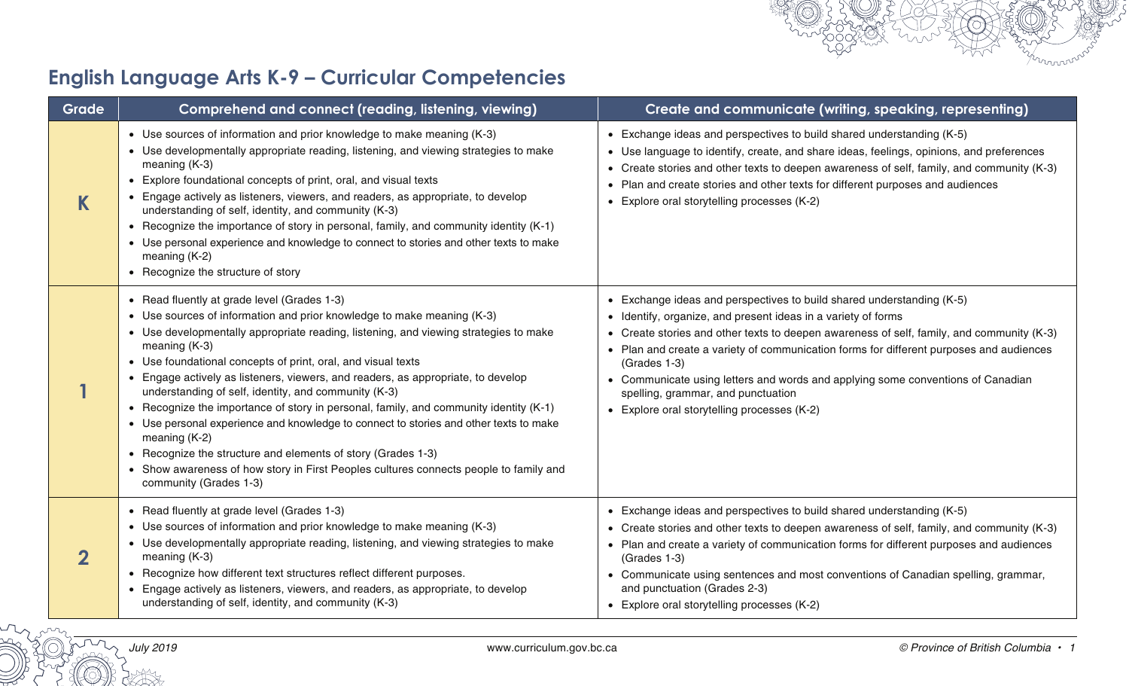## **English Language Arts K-9 – Curricular Competencies**

| Grade | Comprehend and connect (reading, listening, viewing)                                                                                                                                                                                                                                                                                                                                                                                                                                                                                                                                                                                                                                                                                                                                                                               | Create and communicate (writing, speaking, representing)                                                                                                                                                                                                                                                                                                                                                                                                                                                               |
|-------|------------------------------------------------------------------------------------------------------------------------------------------------------------------------------------------------------------------------------------------------------------------------------------------------------------------------------------------------------------------------------------------------------------------------------------------------------------------------------------------------------------------------------------------------------------------------------------------------------------------------------------------------------------------------------------------------------------------------------------------------------------------------------------------------------------------------------------|------------------------------------------------------------------------------------------------------------------------------------------------------------------------------------------------------------------------------------------------------------------------------------------------------------------------------------------------------------------------------------------------------------------------------------------------------------------------------------------------------------------------|
|       | • Use sources of information and prior knowledge to make meaning (K-3)<br>• Use developmentally appropriate reading, listening, and viewing strategies to make<br>meaning $(K-3)$<br>• Explore foundational concepts of print, oral, and visual texts<br>• Engage actively as listeners, viewers, and readers, as appropriate, to develop<br>understanding of self, identity, and community (K-3)<br>• Recognize the importance of story in personal, family, and community identity (K-1)<br>• Use personal experience and knowledge to connect to stories and other texts to make<br>meaning (K-2)<br>• Recognize the structure of story                                                                                                                                                                                         | • Exchange ideas and perspectives to build shared understanding (K-5)<br>• Use language to identify, create, and share ideas, feelings, opinions, and preferences<br>• Create stories and other texts to deepen awareness of self, family, and community (K-3)<br>• Plan and create stories and other texts for different purposes and audiences<br>• Explore oral storytelling processes (K-2)                                                                                                                        |
|       | • Read fluently at grade level (Grades 1-3)<br>• Use sources of information and prior knowledge to make meaning (K-3)<br>• Use developmentally appropriate reading, listening, and viewing strategies to make<br>meaning $(K-3)$<br>• Use foundational concepts of print, oral, and visual texts<br>• Engage actively as listeners, viewers, and readers, as appropriate, to develop<br>understanding of self, identity, and community (K-3)<br>• Recognize the importance of story in personal, family, and community identity (K-1)<br>• Use personal experience and knowledge to connect to stories and other texts to make<br>meaning (K-2)<br>• Recognize the structure and elements of story (Grades 1-3)<br>• Show awareness of how story in First Peoples cultures connects people to family and<br>community (Grades 1-3) | • Exchange ideas and perspectives to build shared understanding (K-5)<br>• Identify, organize, and present ideas in a variety of forms<br>• Create stories and other texts to deepen awareness of self, family, and community (K-3)<br>• Plan and create a variety of communication forms for different purposes and audiences<br>(Grades 1-3)<br>• Communicate using letters and words and applying some conventions of Canadian<br>spelling, grammar, and punctuation<br>• Explore oral storytelling processes (K-2) |
| 2     | • Read fluently at grade level (Grades 1-3)<br>• Use sources of information and prior knowledge to make meaning (K-3)<br>• Use developmentally appropriate reading, listening, and viewing strategies to make<br>meaning (K-3)<br>• Recognize how different text structures reflect different purposes.<br>• Engage actively as listeners, viewers, and readers, as appropriate, to develop<br>understanding of self, identity, and community (K-3)                                                                                                                                                                                                                                                                                                                                                                                | • Exchange ideas and perspectives to build shared understanding (K-5)<br>• Create stories and other texts to deepen awareness of self, family, and community (K-3)<br>• Plan and create a variety of communication forms for different purposes and audiences<br>$(Grades 1-3)$<br>• Communicate using sentences and most conventions of Canadian spelling, grammar,<br>and punctuation (Grades 2-3)<br>• Explore oral storytelling processes (K-2)                                                                    |

mun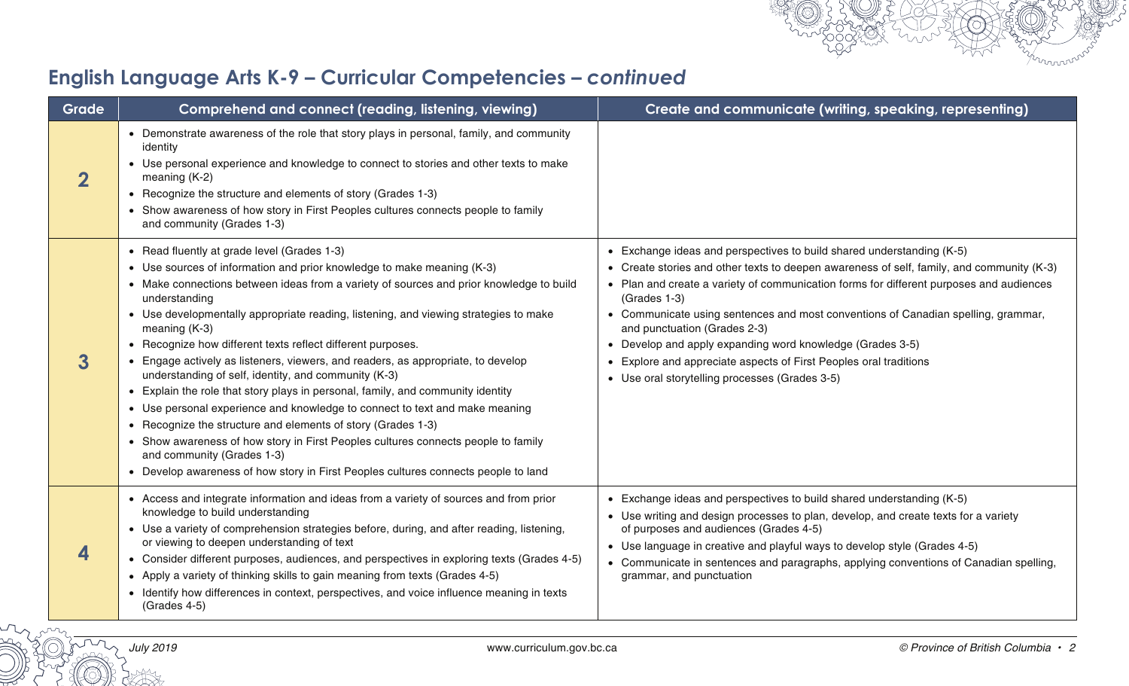

| Grade | Comprehend and connect (reading, listening, viewing)                                                                                                                                                                                                                                                                                                                                                                                                                                                                                                                                                                                                                                                                                                                                                                                                                                                                                                                                             | Create and communicate (writing, speaking, representing)                                                                                                                                                                                                                                                                                                                                                                                                                                                                                                                               |
|-------|--------------------------------------------------------------------------------------------------------------------------------------------------------------------------------------------------------------------------------------------------------------------------------------------------------------------------------------------------------------------------------------------------------------------------------------------------------------------------------------------------------------------------------------------------------------------------------------------------------------------------------------------------------------------------------------------------------------------------------------------------------------------------------------------------------------------------------------------------------------------------------------------------------------------------------------------------------------------------------------------------|----------------------------------------------------------------------------------------------------------------------------------------------------------------------------------------------------------------------------------------------------------------------------------------------------------------------------------------------------------------------------------------------------------------------------------------------------------------------------------------------------------------------------------------------------------------------------------------|
| 2     | • Demonstrate awareness of the role that story plays in personal, family, and community<br>identity<br>• Use personal experience and knowledge to connect to stories and other texts to make<br>meaning $(K-2)$<br>• Recognize the structure and elements of story (Grades 1-3)<br>• Show awareness of how story in First Peoples cultures connects people to family<br>and community (Grades 1-3)                                                                                                                                                                                                                                                                                                                                                                                                                                                                                                                                                                                               |                                                                                                                                                                                                                                                                                                                                                                                                                                                                                                                                                                                        |
| 3     | • Read fluently at grade level (Grades 1-3)<br>• Use sources of information and prior knowledge to make meaning (K-3)<br>• Make connections between ideas from a variety of sources and prior knowledge to build<br>understanding<br>• Use developmentally appropriate reading, listening, and viewing strategies to make<br>meaning (K-3)<br>• Recognize how different texts reflect different purposes.<br>• Engage actively as listeners, viewers, and readers, as appropriate, to develop<br>understanding of self, identity, and community (K-3)<br>• Explain the role that story plays in personal, family, and community identity<br>• Use personal experience and knowledge to connect to text and make meaning<br>• Recognize the structure and elements of story (Grades 1-3)<br>• Show awareness of how story in First Peoples cultures connects people to family<br>and community (Grades 1-3)<br>• Develop awareness of how story in First Peoples cultures connects people to land | • Exchange ideas and perspectives to build shared understanding (K-5)<br>• Create stories and other texts to deepen awareness of self, family, and community (K-3)<br>• Plan and create a variety of communication forms for different purposes and audiences<br>(Grades 1-3)<br>• Communicate using sentences and most conventions of Canadian spelling, grammar,<br>and punctuation (Grades 2-3)<br>• Develop and apply expanding word knowledge (Grades 3-5)<br>• Explore and appreciate aspects of First Peoples oral traditions<br>• Use oral storytelling processes (Grades 3-5) |
|       | • Access and integrate information and ideas from a variety of sources and from prior<br>knowledge to build understanding<br>• Use a variety of comprehension strategies before, during, and after reading, listening,<br>or viewing to deepen understanding of text<br>• Consider different purposes, audiences, and perspectives in exploring texts (Grades 4-5)<br>• Apply a variety of thinking skills to gain meaning from texts (Grades 4-5)<br>• Identify how differences in context, perspectives, and voice influence meaning in texts<br>(Grades 4-5)                                                                                                                                                                                                                                                                                                                                                                                                                                  | • Exchange ideas and perspectives to build shared understanding (K-5)<br>• Use writing and design processes to plan, develop, and create texts for a variety<br>of purposes and audiences (Grades 4-5)<br>• Use language in creative and playful ways to develop style (Grades 4-5)<br>• Communicate in sentences and paragraphs, applying conventions of Canadian spelling,<br>grammar, and punctuation                                                                                                                                                                               |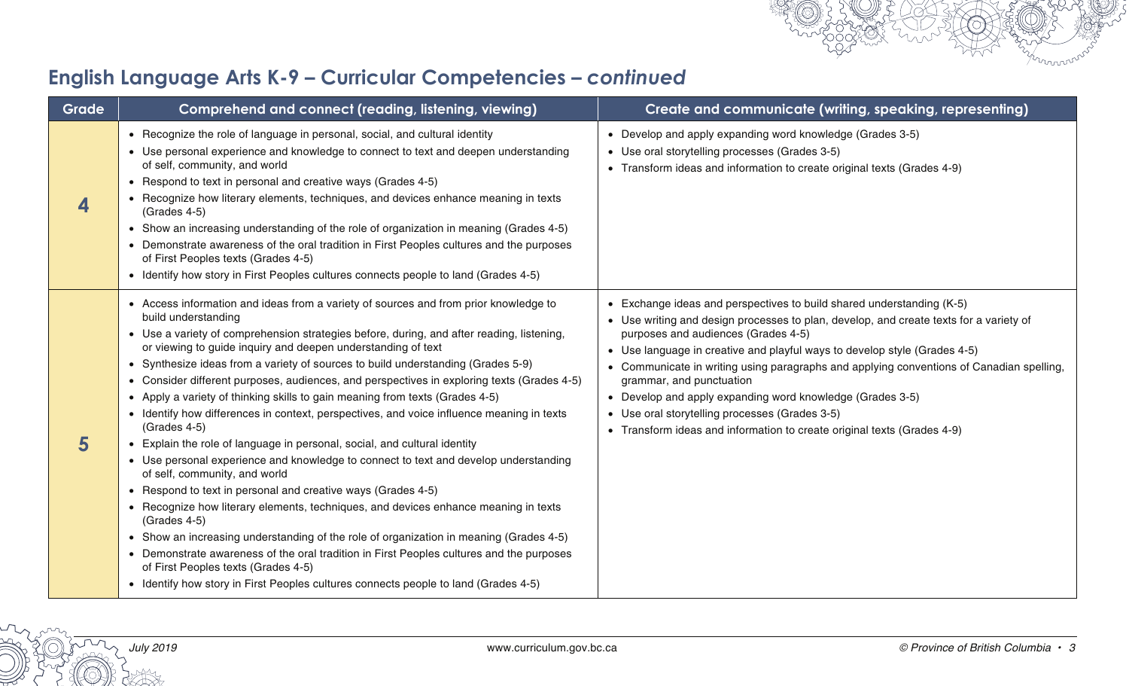

| Grade | Comprehend and connect (reading, listening, viewing)                                                                                                                                                                                                                                                                                                                                                                                                                                                                                                                                                                                                                                                                                                                                                                                                                                                                                                                                                                                                                                                                                                                                                                                                                                                                                                     | Create and communicate (writing, speaking, representing)                                                                                                                                                                                                                                                                                                                                                                                                                                                                                                                                              |
|-------|----------------------------------------------------------------------------------------------------------------------------------------------------------------------------------------------------------------------------------------------------------------------------------------------------------------------------------------------------------------------------------------------------------------------------------------------------------------------------------------------------------------------------------------------------------------------------------------------------------------------------------------------------------------------------------------------------------------------------------------------------------------------------------------------------------------------------------------------------------------------------------------------------------------------------------------------------------------------------------------------------------------------------------------------------------------------------------------------------------------------------------------------------------------------------------------------------------------------------------------------------------------------------------------------------------------------------------------------------------|-------------------------------------------------------------------------------------------------------------------------------------------------------------------------------------------------------------------------------------------------------------------------------------------------------------------------------------------------------------------------------------------------------------------------------------------------------------------------------------------------------------------------------------------------------------------------------------------------------|
| 4     | • Recognize the role of language in personal, social, and cultural identity<br>• Use personal experience and knowledge to connect to text and deepen understanding<br>of self, community, and world<br>• Respond to text in personal and creative ways (Grades 4-5)<br>• Recognize how literary elements, techniques, and devices enhance meaning in texts<br>(Grades 4-5)<br>• Show an increasing understanding of the role of organization in meaning (Grades 4-5)<br>• Demonstrate awareness of the oral tradition in First Peoples cultures and the purposes<br>of First Peoples texts (Grades 4-5)<br>• Identify how story in First Peoples cultures connects people to land (Grades 4-5)                                                                                                                                                                                                                                                                                                                                                                                                                                                                                                                                                                                                                                                           | • Develop and apply expanding word knowledge (Grades 3-5)<br>• Use oral storytelling processes (Grades 3-5)<br>• Transform ideas and information to create original texts (Grades 4-9)                                                                                                                                                                                                                                                                                                                                                                                                                |
| 5     | • Access information and ideas from a variety of sources and from prior knowledge to<br>build understanding<br>• Use a variety of comprehension strategies before, during, and after reading, listening,<br>or viewing to guide inquiry and deepen understanding of text<br>• Synthesize ideas from a variety of sources to build understanding (Grades 5-9)<br>• Consider different purposes, audiences, and perspectives in exploring texts (Grades 4-5)<br>• Apply a variety of thinking skills to gain meaning from texts (Grades 4-5)<br>• Identify how differences in context, perspectives, and voice influence meaning in texts<br>(Grades 4-5)<br>• Explain the role of language in personal, social, and cultural identity<br>• Use personal experience and knowledge to connect to text and develop understanding<br>of self, community, and world<br>• Respond to text in personal and creative ways (Grades 4-5)<br>• Recognize how literary elements, techniques, and devices enhance meaning in texts<br>(Grades 4-5)<br>• Show an increasing understanding of the role of organization in meaning (Grades 4-5)<br>• Demonstrate awareness of the oral tradition in First Peoples cultures and the purposes<br>of First Peoples texts (Grades 4-5)<br>• Identify how story in First Peoples cultures connects people to land (Grades 4-5) | • Exchange ideas and perspectives to build shared understanding (K-5)<br>• Use writing and design processes to plan, develop, and create texts for a variety of<br>purposes and audiences (Grades 4-5)<br>• Use language in creative and playful ways to develop style (Grades 4-5)<br>• Communicate in writing using paragraphs and applying conventions of Canadian spelling,<br>grammar, and punctuation<br>• Develop and apply expanding word knowledge (Grades 3-5)<br>• Use oral storytelling processes (Grades 3-5)<br>• Transform ideas and information to create original texts (Grades 4-9) |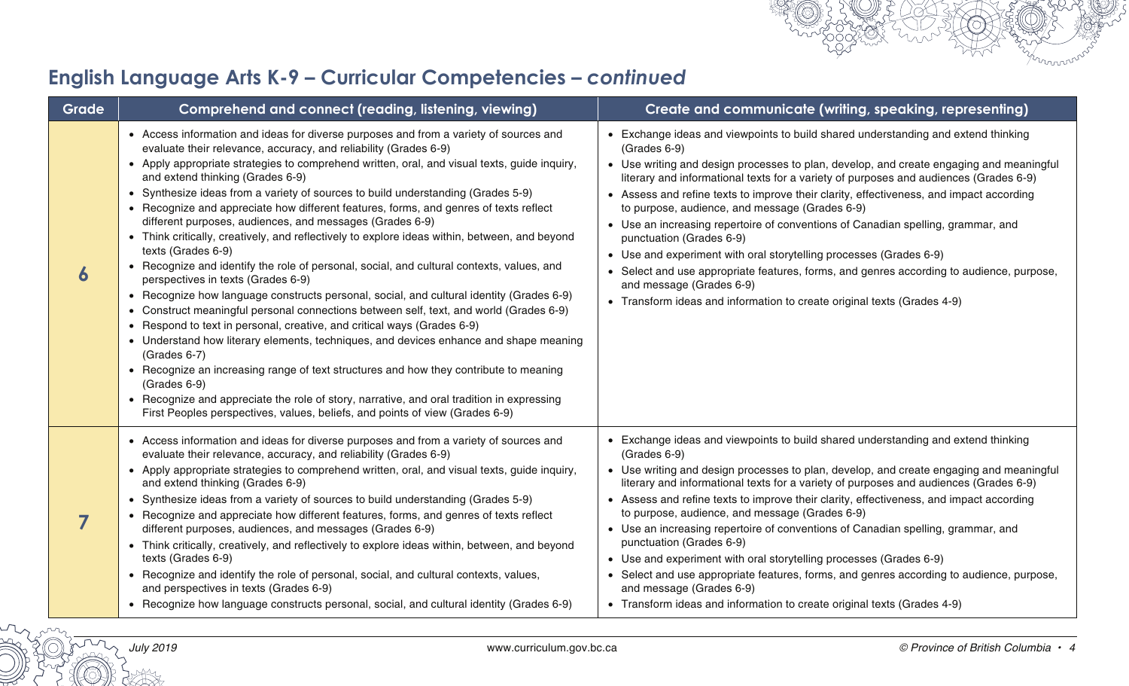

| Grade | Comprehend and connect (reading, listening, viewing)                                                                                                                                                                                                                                                                                                                                                                                                                                                                                                                                                                                                                                                                                                                                                                                                                                                                                                                                                                                                                                                                                                                                                                                                                                                                                                                                                                                                               | Create and communicate (writing, speaking, representing)                                                                                                                                                                                                                                                                                                                                                                                                                                                                                                                                                                                                                                                                                                                                                                    |
|-------|--------------------------------------------------------------------------------------------------------------------------------------------------------------------------------------------------------------------------------------------------------------------------------------------------------------------------------------------------------------------------------------------------------------------------------------------------------------------------------------------------------------------------------------------------------------------------------------------------------------------------------------------------------------------------------------------------------------------------------------------------------------------------------------------------------------------------------------------------------------------------------------------------------------------------------------------------------------------------------------------------------------------------------------------------------------------------------------------------------------------------------------------------------------------------------------------------------------------------------------------------------------------------------------------------------------------------------------------------------------------------------------------------------------------------------------------------------------------|-----------------------------------------------------------------------------------------------------------------------------------------------------------------------------------------------------------------------------------------------------------------------------------------------------------------------------------------------------------------------------------------------------------------------------------------------------------------------------------------------------------------------------------------------------------------------------------------------------------------------------------------------------------------------------------------------------------------------------------------------------------------------------------------------------------------------------|
|       | • Access information and ideas for diverse purposes and from a variety of sources and<br>evaluate their relevance, accuracy, and reliability (Grades 6-9)<br>• Apply appropriate strategies to comprehend written, oral, and visual texts, guide inquiry,<br>and extend thinking (Grades 6-9)<br>• Synthesize ideas from a variety of sources to build understanding (Grades 5-9)<br>• Recognize and appreciate how different features, forms, and genres of texts reflect<br>different purposes, audiences, and messages (Grades 6-9)<br>• Think critically, creatively, and reflectively to explore ideas within, between, and beyond<br>texts (Grades 6-9)<br>• Recognize and identify the role of personal, social, and cultural contexts, values, and<br>perspectives in texts (Grades 6-9)<br>• Recognize how language constructs personal, social, and cultural identity (Grades 6-9)<br>• Construct meaningful personal connections between self, text, and world (Grades 6-9)<br>• Respond to text in personal, creative, and critical ways (Grades 6-9)<br>• Understand how literary elements, techniques, and devices enhance and shape meaning<br>(Grades 6-7)<br>• Recognize an increasing range of text structures and how they contribute to meaning<br>$(Grades 6-9)$<br>• Recognize and appreciate the role of story, narrative, and oral tradition in expressing<br>First Peoples perspectives, values, beliefs, and points of view (Grades 6-9) | • Exchange ideas and viewpoints to build shared understanding and extend thinking<br>(Grades 6-9)<br>• Use writing and design processes to plan, develop, and create engaging and meaningful<br>literary and informational texts for a variety of purposes and audiences (Grades 6-9)<br>• Assess and refine texts to improve their clarity, effectiveness, and impact according<br>to purpose, audience, and message (Grades 6-9)<br>• Use an increasing repertoire of conventions of Canadian spelling, grammar, and<br>punctuation (Grades 6-9)<br>• Use and experiment with oral storytelling processes (Grades 6-9)<br>• Select and use appropriate features, forms, and genres according to audience, purpose,<br>and message (Grades 6-9)<br>• Transform ideas and information to create original texts (Grades 4-9) |
|       | • Access information and ideas for diverse purposes and from a variety of sources and<br>evaluate their relevance, accuracy, and reliability (Grades 6-9)<br>• Apply appropriate strategies to comprehend written, oral, and visual texts, guide inquiry,<br>and extend thinking (Grades 6-9)<br>• Synthesize ideas from a variety of sources to build understanding (Grades 5-9)<br>• Recognize and appreciate how different features, forms, and genres of texts reflect<br>different purposes, audiences, and messages (Grades 6-9)<br>• Think critically, creatively, and reflectively to explore ideas within, between, and beyond<br>texts (Grades 6-9)<br>• Recognize and identify the role of personal, social, and cultural contexts, values,<br>and perspectives in texts (Grades 6-9)<br>• Recognize how language constructs personal, social, and cultural identity (Grades 6-9)                                                                                                                                                                                                                                                                                                                                                                                                                                                                                                                                                                       | • Exchange ideas and viewpoints to build shared understanding and extend thinking<br>(Grades 6-9)<br>• Use writing and design processes to plan, develop, and create engaging and meaningful<br>literary and informational texts for a variety of purposes and audiences (Grades 6-9)<br>• Assess and refine texts to improve their clarity, effectiveness, and impact according<br>to purpose, audience, and message (Grades 6-9)<br>• Use an increasing repertoire of conventions of Canadian spelling, grammar, and<br>punctuation (Grades 6-9)<br>• Use and experiment with oral storytelling processes (Grades 6-9)<br>• Select and use appropriate features, forms, and genres according to audience, purpose,<br>and message (Grades 6-9)<br>• Transform ideas and information to create original texts (Grades 4-9) |

muun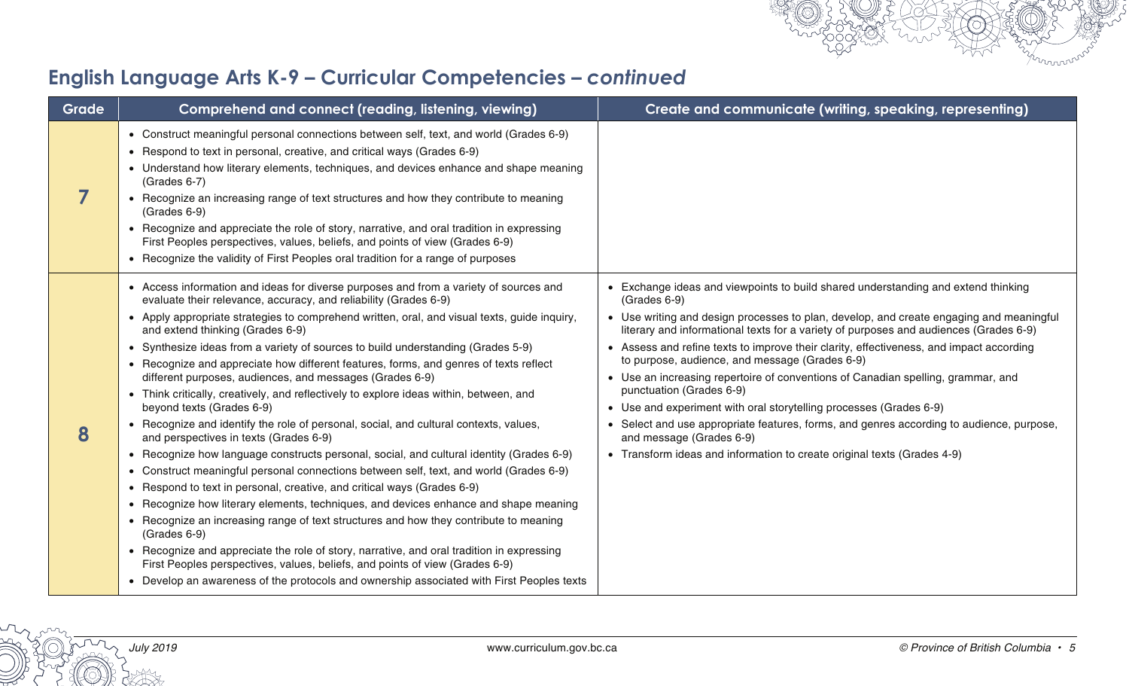

| Grade | Comprehend and connect (reading, listening, viewing)                                                                                                                                                                                                                                                                                                                                                                                                                                                                                                                                                                                                                                                                                                                                                                                                                                                                                                                                                                                                                                                                                                                                                                                                                                                                                                                                                                                                                                                                                         | Create and communicate (writing, speaking, representing)                                                                                                                                                                                                                                                                                                                                                                                                                                                                                                                                                                                                                                                                                                                                                                    |
|-------|----------------------------------------------------------------------------------------------------------------------------------------------------------------------------------------------------------------------------------------------------------------------------------------------------------------------------------------------------------------------------------------------------------------------------------------------------------------------------------------------------------------------------------------------------------------------------------------------------------------------------------------------------------------------------------------------------------------------------------------------------------------------------------------------------------------------------------------------------------------------------------------------------------------------------------------------------------------------------------------------------------------------------------------------------------------------------------------------------------------------------------------------------------------------------------------------------------------------------------------------------------------------------------------------------------------------------------------------------------------------------------------------------------------------------------------------------------------------------------------------------------------------------------------------|-----------------------------------------------------------------------------------------------------------------------------------------------------------------------------------------------------------------------------------------------------------------------------------------------------------------------------------------------------------------------------------------------------------------------------------------------------------------------------------------------------------------------------------------------------------------------------------------------------------------------------------------------------------------------------------------------------------------------------------------------------------------------------------------------------------------------------|
|       | • Construct meaningful personal connections between self, text, and world (Grades 6-9)<br>• Respond to text in personal, creative, and critical ways (Grades 6-9)<br>• Understand how literary elements, techniques, and devices enhance and shape meaning<br>(Grades 6-7)<br>• Recognize an increasing range of text structures and how they contribute to meaning<br>(Grades 6-9)<br>• Recognize and appreciate the role of story, narrative, and oral tradition in expressing<br>First Peoples perspectives, values, beliefs, and points of view (Grades 6-9)<br>• Recognize the validity of First Peoples oral tradition for a range of purposes                                                                                                                                                                                                                                                                                                                                                                                                                                                                                                                                                                                                                                                                                                                                                                                                                                                                                         |                                                                                                                                                                                                                                                                                                                                                                                                                                                                                                                                                                                                                                                                                                                                                                                                                             |
| 8     | • Access information and ideas for diverse purposes and from a variety of sources and<br>evaluate their relevance, accuracy, and reliability (Grades 6-9)<br>• Apply appropriate strategies to comprehend written, oral, and visual texts, guide inquiry,<br>and extend thinking (Grades 6-9)<br>• Synthesize ideas from a variety of sources to build understanding (Grades 5-9)<br>• Recognize and appreciate how different features, forms, and genres of texts reflect<br>different purposes, audiences, and messages (Grades 6-9)<br>• Think critically, creatively, and reflectively to explore ideas within, between, and<br>beyond texts (Grades 6-9)<br>• Recognize and identify the role of personal, social, and cultural contexts, values,<br>and perspectives in texts (Grades 6-9)<br>• Recognize how language constructs personal, social, and cultural identity (Grades 6-9)<br>• Construct meaningful personal connections between self, text, and world (Grades 6-9)<br>• Respond to text in personal, creative, and critical ways (Grades 6-9)<br>• Recognize how literary elements, techniques, and devices enhance and shape meaning<br>• Recognize an increasing range of text structures and how they contribute to meaning<br>(Grades 6-9)<br>• Recognize and appreciate the role of story, narrative, and oral tradition in expressing<br>First Peoples perspectives, values, beliefs, and points of view (Grades 6-9)<br>• Develop an awareness of the protocols and ownership associated with First Peoples texts | • Exchange ideas and viewpoints to build shared understanding and extend thinking<br>(Grades 6-9)<br>• Use writing and design processes to plan, develop, and create engaging and meaningful<br>literary and informational texts for a variety of purposes and audiences (Grades 6-9)<br>• Assess and refine texts to improve their clarity, effectiveness, and impact according<br>to purpose, audience, and message (Grades 6-9)<br>• Use an increasing repertoire of conventions of Canadian spelling, grammar, and<br>punctuation (Grades 6-9)<br>• Use and experiment with oral storytelling processes (Grades 6-9)<br>• Select and use appropriate features, forms, and genres according to audience, purpose,<br>and message (Grades 6-9)<br>• Transform ideas and information to create original texts (Grades 4-9) |